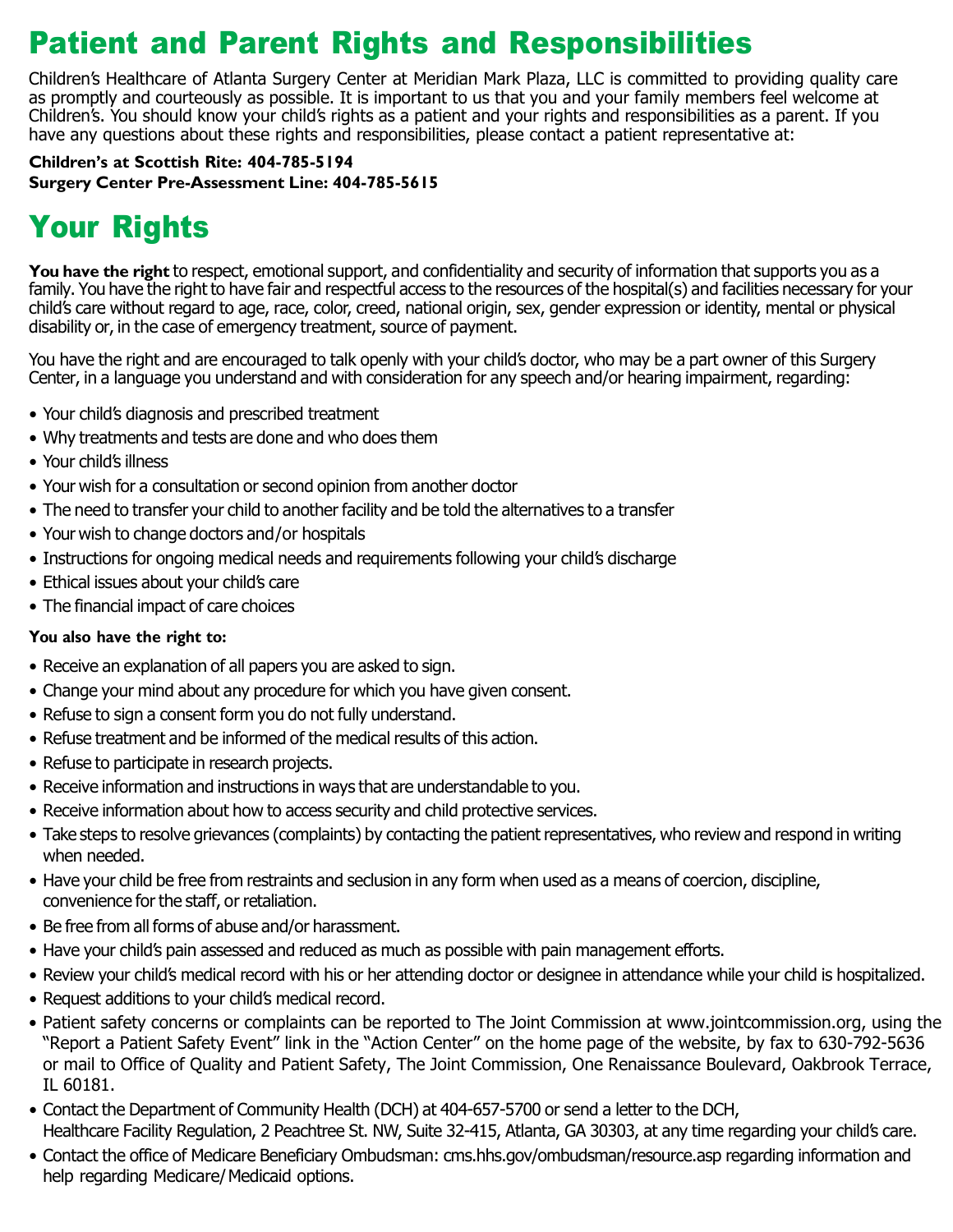### Patient and Parent Rights and Responsibilities

Children's Healthcare of Atlanta Surgery Center at Meridian Mark Plaza, LLC is committed to providing quality care as promptly and courteously as possible. It is important to us that you and your family members feel welcome at Children's. You should know your child's rights as a patient and your rights and responsibilities as a parent. If you have any questions about these rights and responsibilities, please contact a patient representative at:

**Children's at Scottish Rite: 404-785-5194 Surgery Center Pre-Assessment Line: 404-785-5615**

# Your Rights

**You have the right** to respect, emotional support, and confidentiality and security of information that supports you as a family. You have the right to have fair and respectful access to the resources of the hospital(s) and facilities necessary for your child's care without regard to age, race, color, creed, national origin, sex, gender expression or identity, mental or physical disability or, in the case of emergency treatment, source of payment.

You have the right and are encouraged to talk openly with your child's doctor, who may be a part owner of this Surgery Center, in a language you understand and with consideration for any speech and/or hearing impairment, regarding:

- **•** Your child's diagnosis and prescribed treatment
- **•** Why treatments and tests are done and who does them
- **•** Your child's illness
- **•** Your wish for a consultation or second opinion from another doctor
- **•** The need to transfer your child to another facility and be told the alternatives to a transfer
- **•** Your wish to change doctors and/or hospitals
- **•** Instructions for ongoing medical needs and requirements following your child's discharge
- **•** Ethical issues about your child's care
- **•** The financial impact of care choices

#### **You also have the right to:**

- **•** Receive an explanation of all papers you are asked to sign.
- **•** Change your mind about any procedure for which you have given consent.
- **•** Refuse to sign a consent form you do not fully understand.
- **•** Refuse treatment and be informed of the medical results of this action.
- **•** Refuse to participate in research projects.
- **•** Receive information and instructions in ways that are understandable to you.
- **•** Receive information about how to access security and child protective services.
- **•** Take steps to resolve grievances (complaints) by contacting the patient representatives, who review and respond in writing when needed.
- **•** Have your child be free from restraints and seclusion in any form when used as a means of coercion, discipline, convenience for the staff, or retaliation.
- **•** Be free from all forms of abuse and/or harassment.
- **•** Have your child's pain assessed and reduced as much as possible with pain management efforts.
- **•** Review your child's medical record with his or her attending doctor or designee in attendance while your child is hospitalized.
- **•** Request additions to your child's medical record.
- **•** Patient safety concerns or complaints can be reported to The Joint Commission at www.jointcommission.org, using the "Report a Patient Safety Event" link in the "Action Center" on the home page of the website, by fax to 630-792-5636 or mail to Office of Quality and Patient Safety, The Joint Commission, One Renaissance Boulevard, Oakbrook Terrace, IL 60181.
- **•** Contact the Department of Community Health (DCH) at 404-657-5700 or send a letter to the DCH, Healthcare Facility Regulation, 2 Peachtree St. NW, Suite 32-415, Atlanta, GA 30303, at any time regarding your child's care.
- **•** Contact the office of Medicare Beneficiary Ombudsman: cms.hhs.gov/ombudsman/resource.asp regarding information and help regarding Medicare/Medicaid options.